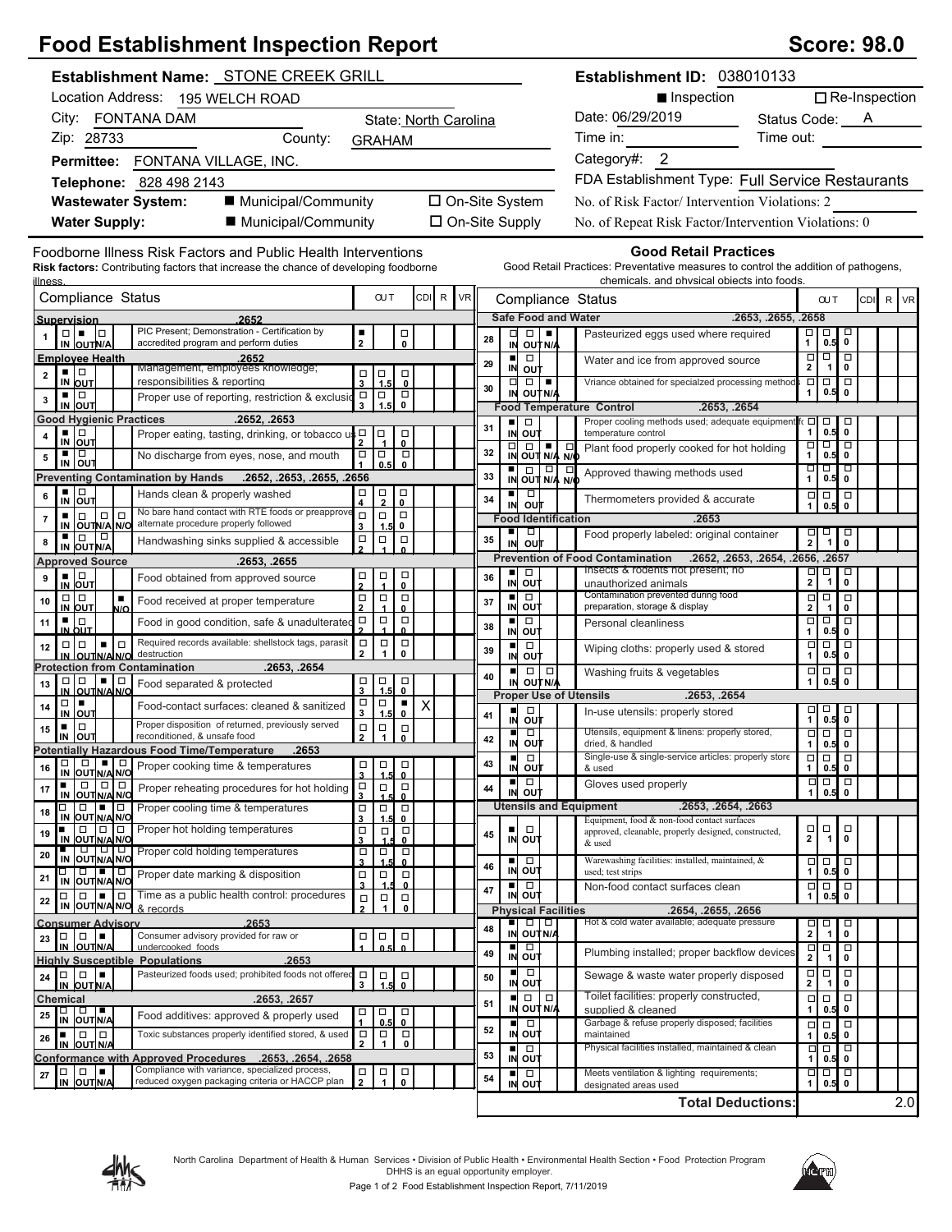## **Food Establishment Inspection Report Score: 98.0** Score: 98.0

| <b>Establishment Name: STONE CREEK GRILL</b>                                                                                                                                                                                                                                                                                                                                                                                                         |                                                                                                                                |                       |    |                                                                                     |                  | Establishment ID: 038010133                                                                                                                                       |                                                                                                   |                      |
|------------------------------------------------------------------------------------------------------------------------------------------------------------------------------------------------------------------------------------------------------------------------------------------------------------------------------------------------------------------------------------------------------------------------------------------------------|--------------------------------------------------------------------------------------------------------------------------------|-----------------------|----|-------------------------------------------------------------------------------------|------------------|-------------------------------------------------------------------------------------------------------------------------------------------------------------------|---------------------------------------------------------------------------------------------------|----------------------|
| Location Address: 195 WELCH ROAD                                                                                                                                                                                                                                                                                                                                                                                                                     |                                                                                                                                |                       |    |                                                                                     |                  | ■ Inspection                                                                                                                                                      |                                                                                                   | $\Box$ Re-Inspection |
| City: FONTANA DAM                                                                                                                                                                                                                                                                                                                                                                                                                                    | State: North Carolina                                                                                                          |                       |    |                                                                                     | Date: 06/29/2019 | Status Code: <u>A</u>                                                                                                                                             |                                                                                                   |                      |
| Zip: 28733<br>County:                                                                                                                                                                                                                                                                                                                                                                                                                                | <b>GRAHAM</b>                                                                                                                  |                       |    |                                                                                     |                  | Time in:                                                                                                                                                          | Time out:                                                                                         |                      |
| Permittee: FONTANA VILLAGE, INC.                                                                                                                                                                                                                                                                                                                                                                                                                     |                                                                                                                                |                       |    |                                                                                     |                  | Category#: 2                                                                                                                                                      |                                                                                                   |                      |
| Telephone: 828 498 2143                                                                                                                                                                                                                                                                                                                                                                                                                              |                                                                                                                                |                       |    |                                                                                     |                  | FDA Establishment Type: Full Service Restaurants                                                                                                                  |                                                                                                   |                      |
| ■ Municipal/Community<br><b>Wastewater System:</b>                                                                                                                                                                                                                                                                                                                                                                                                   |                                                                                                                                | □ On-Site System      |    |                                                                                     |                  | No. of Risk Factor/Intervention Violations: 2                                                                                                                     |                                                                                                   |                      |
| ■ Municipal/Community<br><b>Water Supply:</b>                                                                                                                                                                                                                                                                                                                                                                                                        |                                                                                                                                | $\Box$ On-Site Supply |    |                                                                                     |                  | No. of Repeat Risk Factor/Intervention Violations: 0                                                                                                              |                                                                                                   |                      |
|                                                                                                                                                                                                                                                                                                                                                                                                                                                      |                                                                                                                                |                       |    |                                                                                     |                  |                                                                                                                                                                   |                                                                                                   |                      |
| Foodborne Illness Risk Factors and Public Health Interventions<br><b>Risk factors:</b> Contributing factors that increase the chance of developing foodborne<br>llness                                                                                                                                                                                                                                                                               |                                                                                                                                |                       |    |                                                                                     |                  | <b>Good Retail Practices</b><br>Good Retail Practices: Preventative measures to control the addition of pathogens,<br>chemicals, and physical objects into foods. |                                                                                                   |                      |
| Compliance Status                                                                                                                                                                                                                                                                                                                                                                                                                                    | <b>OUT</b>                                                                                                                     | CDI R<br><b>VR</b>    |    |                                                                                     |                  | Compliance Status                                                                                                                                                 | <b>OUT</b>                                                                                        | CDI R<br><b>VR</b>   |
| 2652<br>Supervision                                                                                                                                                                                                                                                                                                                                                                                                                                  |                                                                                                                                |                       |    | <b>Safe Food and Water</b>                                                          |                  |                                                                                                                                                                   | .2653, .2655, .2658                                                                               |                      |
| PIC Present; Demonstration - Certification by<br>$\Box   \bullet   \Box$<br>accredited program and perform duties<br>IN OUTN/A                                                                                                                                                                                                                                                                                                                       | ٠<br>口<br>0<br>$\overline{2}$                                                                                                  |                       | 28 | $\Box$<br>□<br>IN OUTN/A                                                            |                  | Pasteurized eggs used where required                                                                                                                              | $\Box$<br>о<br>口<br>0<br>0.5<br>$\mathbf{1}$                                                      |                      |
| <b>Employee Health</b><br>2652<br>Management, employees knowledge;                                                                                                                                                                                                                                                                                                                                                                                   |                                                                                                                                |                       | 29 | $\Box$<br>IN OUT                                                                    |                  | Water and ice from approved source                                                                                                                                | $\overline{\Box}$<br>$\overline{\Box}$<br>$\Box$<br>$\overline{2}$<br>$\mathbf{1}$<br>$\mathbf 0$ |                      |
| ▪ ▏□<br>$\mathbf{2}$<br>responsibilities & reporting<br>IN OUT                                                                                                                                                                                                                                                                                                                                                                                       | $\Box$<br>$\vert_{1.5}^{\square}$<br>$_{\rm o}^{\rm \scriptscriptstyle \rm \scriptscriptstyle \rm}$<br>$\overline{\mathbf{3}}$ |                       | 30 | $\Box$<br>$\Box$                                                                    |                  | Vriance obtained for specialzed processing method                                                                                                                 | $\Box$<br>$\Box$<br>$\Box$                                                                        |                      |
| ▪ ▏□<br>Proper use of reporting, restriction & exclusio<br>3<br>IN OUT                                                                                                                                                                                                                                                                                                                                                                               | $\frac{1}{3}$ $\frac{1}{3}$<br>$_{\rm 0}^{\square}$                                                                            |                       |    | IN OUT N/A                                                                          |                  | <b>Food Temperature Control</b><br>.2653, .2654                                                                                                                   | 0.5<br>0<br>1                                                                                     |                      |
| <b>Good Hygienic Practices</b><br>.2652, .2653                                                                                                                                                                                                                                                                                                                                                                                                       |                                                                                                                                |                       |    | ٠<br>$\Box$                                                                         |                  | Proper cooling methods used; adequate equipment fo                                                                                                                | ⊡<br>$\Box$<br>$\Box$                                                                             |                      |
| ▪ ▏□<br>Proper eating, tasting, drinking, or tobacco us p<br>4<br>IN OUT                                                                                                                                                                                                                                                                                                                                                                             | Ⅰ□<br>□<br>0                                                                                                                   |                       | 31 | IN OUT                                                                              |                  | temperature control                                                                                                                                               | 0.5<br>$\mathbf 0$<br>$\mathbf{1}$<br>$\overline{\blacksquare}$<br>$\Box$<br>□                    |                      |
| ▪ ▏□<br>No discharge from eyes, nose, and mouth<br>5<br>IN OUT                                                                                                                                                                                                                                                                                                                                                                                       | $\Box$<br>$\Box$<br>$\Box$<br>0.5<br>$\mathbf{0}$                                                                              |                       | 32 | $\begin{array}{ c c c }\n\hline\n\Box & \Box & \Box \\ \hline\n\end{array}$ N/A N/O |                  | Plant food properly cooked for hot holding                                                                                                                        | 0.5<br>1<br>$\mathbf 0$                                                                           |                      |
| <b>Preventing Contamination by Hands</b><br>.2652, .2653, .2655, .2656                                                                                                                                                                                                                                                                                                                                                                               |                                                                                                                                |                       | 33 | IN OUT N/A N/O                                                                      |                  | Approved thawing methods used                                                                                                                                     | −□<br>þ<br>▫<br>0.5<br>$\mathbf{1}$<br>0                                                          |                      |
| ▪│□<br>Hands clean & properly washed<br>6<br>IN OUT                                                                                                                                                                                                                                                                                                                                                                                                  | $\frac{\Box}{2}$<br>$_{\rm 0}^{\square}$<br>п<br>$\overline{\mathbf{4}}$                                                       |                       | 34 | $\Box$<br>o∪†r<br>IN                                                                |                  | Thermometers provided & accurate                                                                                                                                  | $\Box$<br>$\Box$<br>$\Box$<br>0.5<br>$\mathbf{1}$<br>0                                            |                      |
| No bare hand contact with RTE foods or preapprove<br>$\Box$<br>$\Box$<br>$\Box$<br>$\overline{7}$<br>alternate procedure properly followed                                                                                                                                                                                                                                                                                                           | $\Box$<br>$\Box$<br>$\Box$<br>0                                                                                                |                       |    | <b>Food Identification</b>                                                          |                  | .2653                                                                                                                                                             |                                                                                                   |                      |
| IN OUTN/A N/O<br> D <br>∎∣⊡<br>Handwashing sinks supplied & accessible<br>8                                                                                                                                                                                                                                                                                                                                                                          | 3<br>1.5<br>$\Box$<br>$\Box$<br>$\Box$                                                                                         |                       | 35 | ٠<br>$\Box$<br>ou†<br>IN                                                            |                  | Food properly labeled: original container                                                                                                                         | $\begin{array}{c} \square \\ 1 \end{array}$<br>$\overline{\mathsf{d}}$<br>$\frac{\Box}{2}$        |                      |
| IN OUT N/A<br><b>Approved Source</b><br>.2653, .2655                                                                                                                                                                                                                                                                                                                                                                                                 |                                                                                                                                |                       |    |                                                                                     |                  | <b>Prevention of Food Contamination</b>                                                                                                                           | .2652, .2653, .2654, .2656, .2657                                                                 |                      |
| $\frac{1}{N}$ out<br>Food obtained from approved source<br>9                                                                                                                                                                                                                                                                                                                                                                                         | □<br>$\frac{\Box}{1}$<br>$\Box$                                                                                                |                       | 36 | $\Box$<br>٠<br>$\mathsf{IN}$<br>out                                                 |                  | Insects & rodents not present; no                                                                                                                                 | $\frac{1}{2}$<br>$\begin{array}{c}\n\Box \\ \hline\n1\n\end{array}$<br>$\overline{\bullet}$       |                      |
| $\Box   \Box$<br>$\blacksquare$<br>Food received at proper temperature<br>10                                                                                                                                                                                                                                                                                                                                                                         | 0<br>$\Box$<br>$\Box$<br>$\Box$                                                                                                |                       | 37 | $\Box$<br>٠                                                                         |                  | unauthorized animals<br>Contamination prevented during food                                                                                                       | $\Box$<br>$\Box$<br>$\Box$                                                                        |                      |
| IN OUT<br>N/O<br>▪ ∣□<br>Food in good condition, safe & unadulterated<br>11                                                                                                                                                                                                                                                                                                                                                                          | $\mathbf{0}$<br>$\Box$<br>$\Box$                                                                                               |                       |    | out<br>IN<br>٠<br>$\Box$                                                            |                  | preparation, storage & display<br>Personal cleanliness                                                                                                            | 2<br>0<br>-1<br>$\overline{\phantom{a}}$<br>무                                                     |                      |
| IN OUT<br>Required records available: shellstock tags, parasit                                                                                                                                                                                                                                                                                                                                                                                       | $\frac{\Box}{2}$<br>0                                                                                                          |                       | 38 | IN<br>out                                                                           |                  |                                                                                                                                                                   | 0.5<br>$\mathbf 0$<br>1                                                                           |                      |
| $\Box$<br>ا ما م<br>$\blacksquare$<br>12<br>destruction<br>IN OUTNA NO                                                                                                                                                                                                                                                                                                                                                                               | $\Box$<br>$\Box$<br>$\Box$<br>2<br>$\mathbf{1}$<br>0                                                                           |                       | 39 | $\Box$<br>٠<br>IN<br>out                                                            |                  | Wiping cloths: properly used & stored                                                                                                                             | $\overline{\square}$<br>$\overline{\blacksquare}$<br>$\Box$<br>$0.5$ 0<br>$\mathbf{1}$            |                      |
| <b>Protection from Contamination</b><br>.2653, .2654<br>$\Box   \Box$<br>▪Ⅰ□                                                                                                                                                                                                                                                                                                                                                                         | Ⅰ□<br>$\Box$<br>$\Box$                                                                                                         |                       | 40 | $\Box$                                                                              | $\Box$           | Washing fruits & vegetables                                                                                                                                       | 0.5<br>$\Box$<br>$\Box$<br>0<br>$\mathbf{1}$                                                      |                      |
| Food separated & protected<br>13<br>IN OUTNA                                                                                                                                                                                                                                                                                                                                                                                                         | $\mathbf{R}$<br>$\mathbf{a}$                                                                                                   |                       |    | IN OUT N/A<br><b>Proper Use of Utensils</b>                                         |                  | .2653, .2654                                                                                                                                                      |                                                                                                   |                      |
| $\Box$<br>Food-contact surfaces: cleaned & sanitized<br>14<br>IN OUT                                                                                                                                                                                                                                                                                                                                                                                 | $\Box$<br>$\frac{\Box}{3}$<br>٠<br>$\mathsf X$<br>1.5<br>$\mathbf{0}$                                                          |                       | 41 | $\Box$<br>o∪t<br>IN                                                                 |                  | In-use utensils: properly stored                                                                                                                                  | $\overline{0.5}$<br>$\Box$<br>$\Box$<br>$\mathbf 0$                                               |                      |
| Proper disposition of returned, previously served<br>$\Box$<br>٠<br>15<br>reconditioned, & unsafe food<br>IN<br>OUT                                                                                                                                                                                                                                                                                                                                  | $\Box$<br>$\frac{1}{1}$<br>$_{\rm 0}^{\rm \Box}$<br>$\overline{2}$                                                             |                       | 42 | $\Box$                                                                              |                  | Utensils, equipment & linens: properly stored,                                                                                                                    | $\overline{\Box}$<br>$\overline{\Box}$<br>▫                                                       |                      |
| Potentially Hazardous Food Time/Temperature<br>.2653                                                                                                                                                                                                                                                                                                                                                                                                 |                                                                                                                                |                       |    | ουτ<br>IN<br>п<br>$\Box$                                                            |                  | dried. & handled<br>Single-use & single-service articles: properly store                                                                                          | 0.5<br>$\mathbf{1}$<br>0<br>Ξ<br>$\Box$<br>$\Box$                                                 |                      |
| <b>THE PROPER COOKING THE SUBSERVIEWS</b><br>16<br>IN OUT N/A N/O                                                                                                                                                                                                                                                                                                                                                                                    | $\Box$ $\Box$ $\Box$<br>$\overline{\mathbf{3}}$<br>1.5<br>$\mathbf{0}$                                                         |                       | 43 | in out<br>ш                                                                         |                  | & used                                                                                                                                                            | 1 <sup>1</sup><br>$0.5$ 0<br>$\Box$                                                               |                      |
| $\Box$<br>٠<br>Proper reheating procedures for hot holding<br>17<br>IN OUT N/A N/O                                                                                                                                                                                                                                                                                                                                                                   | $\Box$<br>$\Box$<br>$\overline{\phantom{0}}_0$<br>3                                                                            |                       | 44 | $\Box$<br>IN OUT                                                                    |                  | Gloves used properly                                                                                                                                              | $\begin{array}{c} 1 \overline{0} \\ 0.5 \end{array}$<br>$\mathbf{1}$                              |                      |
| $\begin{array}{c c c c c c} \hline \rule{0pt}{2.5ex} & \rule{0pt}{2.5ex} & \rule{0pt}{2.5ex} & \rule{0pt}{2.5ex} & \rule{0pt}{2.5ex} & \rule{0pt}{2.5ex} & \rule{0pt}{2.5ex} & \rule{0pt}{2.5ex} & \rule{0pt}{2.5ex} & \rule{0pt}{2.5ex} & \rule{0pt}{2.5ex} & \rule{0pt}{2.5ex} & \rule{0pt}{2.5ex} & \rule{0pt}{2.5ex} & \rule{0pt}{2.5ex} & \rule{0pt}{2.5ex} & \rule{0pt}{2.$<br>α<br>Proper cooling time & temperatures<br>18<br>IN OUT N/A N/O | $\Box$<br>$\Box$<br>$\Box$<br>$\overline{\mathbf{3}}$<br>1.5<br>$\mathbf{0}$                                                   |                       |    |                                                                                     |                  | <b>Utensils and Equipment</b><br>.2653, .2654, .2663<br>Equipment, food & non-food contact surfaces                                                               |                                                                                                   |                      |
| Proper hot holding temperatures<br>$\Box$<br>00<br>$\blacksquare$<br>19<br>IN OUT N/A N/O                                                                                                                                                                                                                                                                                                                                                            | $\Box$<br>$\Box$<br>Π<br>3<br>0                                                                                                |                       | 45 | $\Box$<br>IN<br><b>OUT</b>                                                          |                  | approved, cleanable, properly designed, constructed,                                                                                                              | $\begin{array}{c}\n\Box \\ \hline\n\end{array}$<br>$\Box$<br>$\frac{\Box}{2}$<br>$\mathbf 0$      |                      |
| IN OUTNANG<br>Proper cold holding temperatures<br>20                                                                                                                                                                                                                                                                                                                                                                                                 | $\Box$<br>$\Box$<br>$\overline{\mathfrak{o}}$                                                                                  |                       |    |                                                                                     |                  | & used<br>Warewashing facilities: installed, maintained, &                                                                                                        |                                                                                                   |                      |
| □ □ ■ □<br>IN OUTN/A N/O<br>Proper date marking & disposition<br>21                                                                                                                                                                                                                                                                                                                                                                                  | 3<br>1.5<br>$\Box$<br>$\Box$<br>$\Box$                                                                                         |                       | 46 | $\Box$<br>ш<br>IN OUT                                                               |                  | used; test strips                                                                                                                                                 | $\begin{array}{c} 0.5 \\ 0.5 \end{array}$<br>$\Box$<br>□<br>1                                     |                      |
| $\Box$ Time as a public health control: procedures<br>$\Box$<br>ı.<br>□                                                                                                                                                                                                                                                                                                                                                                              | 3<br>$\mathbf{0}$<br>$\Box$<br>□<br>$\Box$                                                                                     |                       | 47 | $\Box$<br>IN OUT                                                                    |                  | Non-food contact surfaces clean                                                                                                                                   | $\Box$<br>о<br>$\Box$<br>0.5<br>0<br>$\mathbf{1}$                                                 |                      |
| 22<br>IN OUT N/AN/O & records                                                                                                                                                                                                                                                                                                                                                                                                                        | $\overline{2}$<br>$\mathbf{1}$<br>$\pmb{0}$                                                                                    |                       |    | <b>Physical Facilities</b>                                                          |                  | .2654, .2655, .2656                                                                                                                                               |                                                                                                   |                      |
| .2653<br><b>Consumer Advisory</b><br>Consumer advisory provided for raw or<br>$\Box$<br>10 I                                                                                                                                                                                                                                                                                                                                                         | ╹<br>$\Box$<br>$\Box$                                                                                                          |                       | 48 | $\Box$<br>IN OUT N/A                                                                |                  | Hot & cold water available; adequate pressure                                                                                                                     | ᄆ<br>$\begin{array}{c}\n\Box \\ \Box\n\end{array}$<br>ᇢ<br>$\overline{\mathbf{2}}$                |                      |
| 23<br>IN OUTN/A<br>undercooked foods                                                                                                                                                                                                                                                                                                                                                                                                                 | 0.5                                                                                                                            |                       | 49 | p<br>■<br>IN OUT                                                                    |                  | Plumbing installed; proper backflow devices                                                                                                                       | þ<br>$\frac{1}{2}$<br>Ξ<br>$\overline{1}$<br>0                                                    |                      |
| .2653<br><b>Highly Susceptible Populations</b><br> D <br>Pasteurized foods used; prohibited foods not offered<br>lo.<br>24                                                                                                                                                                                                                                                                                                                           | $\Box$                                                                                                                         |                       |    | $\Box$<br>ш                                                                         |                  | Sewage & waste water properly disposed                                                                                                                            | $\Box$<br>$\Box$                                                                                  |                      |
| IN OUT N/A                                                                                                                                                                                                                                                                                                                                                                                                                                           | $\frac{1}{1.5}$<br>$\overline{\phantom{0}}_{\phantom{0}}^{\square}$<br>3                                                       |                       | 50 | IN OUT<br>$\Box$                                                                    | $\Box$           | Toilet facilities: properly constructed,                                                                                                                          | $\frac{\Box}{2}$<br>$\pmb{0}$<br>$\overline{1}$<br>$\Box$                                         |                      |
| .2653, .2657<br>Chemical<br>□ □ ■<br>IN OUTN/A<br>Food additives: approved & properly used<br>25                                                                                                                                                                                                                                                                                                                                                     | $\Box$<br>о<br>$\Box$                                                                                                          |                       | 51 | OUT N/A<br>ΙN                                                                       |                  | supplied & cleaned                                                                                                                                                | $\frac{\square}{0.5}$<br>□<br>0<br>1                                                              |                      |
| Toxic substances properly identified stored, & used<br>10 IO<br>$\blacksquare$                                                                                                                                                                                                                                                                                                                                                                       | 0<br>0.5<br>$\Box$<br>$\Box$<br>$\Box$                                                                                         |                       | 52 | $\Box$<br>ш<br>IN OUT                                                               |                  | Garbage & refuse properly disposed; facilities<br>maintained                                                                                                      | $\Box$<br>$\Box$<br>$\Box$<br>0.5<br>0<br>1                                                       |                      |
| 26<br>IN OUT N/A                                                                                                                                                                                                                                                                                                                                                                                                                                     | $\mathbf{2}$<br>1<br>$\mathbf 0$                                                                                               |                       | 53 | ш<br>$\Box$                                                                         |                  | Physical facilities installed, maintained & clean                                                                                                                 | p<br>$\Box$<br>□                                                                                  |                      |
| Conformance with Approved Procedures .2653. .2654. .2658<br>Compliance with variance, specialized process,<br>00<br>▏▆<br>$\mathbf{27}$                                                                                                                                                                                                                                                                                                              | $\Box$<br>$\Box$                                                                                                               |                       |    | IN OUT<br>$\Box$                                                                    |                  | Meets ventilation & lighting requirements;                                                                                                                        | 0.5<br>$\mathbf 0$<br>$\Box$<br>$\Box$                                                            |                      |
| IN OUTN/A<br>reduced oxygen packaging criteria or HACCP plan                                                                                                                                                                                                                                                                                                                                                                                         | $\vert \frac{1}{4} \vert$<br>$\mathbf{2}$<br>0                                                                                 |                       | 54 | $\overline{N}$ out                                                                  |                  | designated areas used                                                                                                                                             | $\overline{0.5}$<br>$\pmb{0}$<br>$1 \mid$                                                         |                      |





**Total Deductions:**

2.0

Page 1 of 2 Food Establishment Inspection Report, 7/11/2019

designated areas used